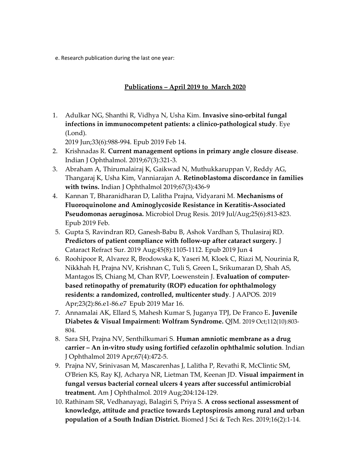e. Research publication during the last one year:

## Publications – April 2019 to March 2020

1. Adulkar NG, Shanthi R, Vidhya N, Usha Kim. Invasive sino-orbital fungal infections in immunocompetent patients: a clinico-pathological study. Eye (Lond).

2019 Jun;33(6):988-994. Epub 2019 Feb 14.

- 2. Krishnadas R. Current management options in primary angle closure disease. Indian J Ophthalmol. 2019;67(3):321-3.
- 3. Abraham A, Thirumalairaj K, Gaikwad N, Muthukkaruppan V, Reddy AG, Thangaraj K, Usha Kim, Vanniarajan A. Retinoblastoma discordance in families with twins. Indian J Ophthalmol 2019;67(3):436-9
- 4. Kannan T, Bharanidharan D, Lalitha Prajna, Vidyarani M. Mechanisms of Fluoroquinolone and Aminoglycoside Resistance in Keratitis-Associated Pseudomonas aeruginosa. Microbiol Drug Resis. 2019 Jul/Aug;25(6):813-823. Epub 2019 Feb.
- 5. Gupta S, Ravindran RD, Ganesh-Babu B, Ashok Vardhan S, Thulasiraj RD. Predictors of patient compliance with follow-up after cataract surgery. J Cataract Refract Sur. 2019 Aug;45(8):1105-1112. Epub 2019 Jun 4
- 6. Roohipoor R, Alvarez R, Brodowska K, Yaseri M, Kloek C, Riazi M, Nourinia R, Nikkhah H, Prajna NV, Krishnan C, Tuli S, Green L, Srikumaran D, Shah AS, Mantagos IS, Chiang M, Chan RVP, Loewenstein J. Evaluation of computerbased retinopathy of prematurity (ROP) education for ophthalmology residents: a randomized, controlled, multicenter study. J AAPOS. 2019 Apr;23(2):86.e1-86.e7 Epub 2019 Mar 16.
- 7. Annamalai AK, Ellard S, Mahesh Kumar S, Juganya TPJ, De Franco E. Juvenile Diabetes & Visual Impairment: Wolfram Syndrome. QJM. 2019 Oct;112(10):803- 804.
- 8. Sara SH, Prajna NV, Senthilkumari S. Human amniotic membrane as a drug carrier – An in-vitro study using fortified cefazolin ophthalmic solution. Indian J Ophthalmol 2019 Apr;67(4):472-5.
- 9. Prajna NV, Srinivasan M, Mascarenhas J, Lalitha P, Revathi R, McClintic SM, O'Brien KS, Ray KJ, Acharya NR, Lietman TM, Keenan JD. Visual impairment in fungal versus bacterial corneal ulcers 4 years after successful antimicrobial treatment. Am J Ophthalmol. 2019 Aug;204:124-129.
- 10. Rathinam SR, Vedhanayagi, Balagiri S, Priya S. A cross sectional assessment of knowledge, attitude and practice towards Leptospirosis among rural and urban population of a South Indian District. Biomed J Sci & Tech Res. 2019;16(2):1-14.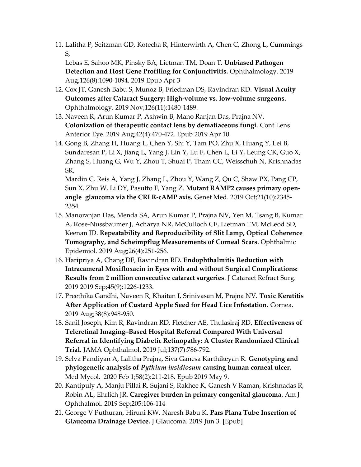11. Lalitha P, Seitzman GD, Kotecha R, Hinterwirth A, Chen C, Zhong L, Cummings S,

Lebas E, Sahoo MK, Pinsky BA, Lietman TM, Doan T. Unbiased Pathogen Detection and Host Gene Profiling for Conjunctivitis. Ophthalmology. 2019 Aug;126(8):1090-1094. 2019 Epub Apr 3

- 12. Cox JT, Ganesh Babu S, Munoz B, Friedman DS, Ravindran RD. Visual Acuity Outcomes after Cataract Surgery: High-volume vs. low-volume surgeons. Ophthalmology. 2019 Nov;126(11):1480-1489.
- 13. Naveen R, Arun Kumar P, Ashwin B, Mano Ranjan Das, Prajna NV. Colonization of therapeutic contact lens by dematiaceous fungi. Cont Lens Anterior Eye. 2019 Aug;42(4):470-472. Epub 2019 Apr 10.
- 14. Gong B, Zhang H, Huang L, Chen Y, Shi Y, Tam PO, Zhu X, Huang Y, Lei B, Sundaresan P, Li X, Jiang L, Yang J, Lin Y, Lu F, Chen L, Li Y, Leung CK, Guo X, Zhang S, Huang G, Wu Y, Zhou T, Shuai P, Tham CC, Weisschuh N, Krishnadas SR,

Mardin C, Reis A, Yang J, Zhang L, Zhou Y, Wang Z, Qu C, Shaw PX, Pang CP, Sun X, Zhu W, Li DY, Pasutto F, Yang Z. Mutant RAMP2 causes primary openangle glaucoma via the CRLR-cAMP axis. Genet Med. 2019 Oct;21(10):2345- 2354

- 15. Manoranjan Das, Menda SA, Arun Kumar P, Prajna NV, Yen M, Tsang B, Kumar A, Rose-Nussbaumer J, Acharya NR, McCulloch CE, Lietman TM, McLeod SD, Keenan JD. Repeatability and Reproducibility of Slit Lamp, Optical Coherence Tomography, and Scheimpflug Measurements of Corneal Scars. Ophthalmic Epidemiol. 2019 Aug;26(4):251-256.
- 16. Haripriya A, Chang DF, Ravindran RD. Endophthalmitis Reduction with Intracameral Moxifloxacin in Eyes with and without Surgical Complications: Results from 2 million consecutive cataract surgeries. J Cataract Refract Surg. 2019 2019 Sep;45(9):1226-1233.
- 17. Preethika Gandhi, Naveen R, Khaitan I, Srinivasan M, Prajna NV. Toxic Keratitis After Application of Custard Apple Seed for Head Lice Infestation. Cornea. 2019 Aug;38(8):948-950.
- 18. Sanil Joseph, Kim R, Ravindran RD, Fletcher AE, Thulasiraj RD. Effectiveness of Teleretinal Imaging–Based Hospital Referral Compared With Universal Referral in Identifying Diabetic Retinopathy: A Cluster Randomized Clinical Trial. JAMA Ophthalmol. 2019 Jul;137(7):786-792.
- 19. Selva Pandiyan A, Lalitha Prajna, Siva Ganesa Karthikeyan R. Genotyping and phylogenetic analysis of Pythium insidiosum causing human corneal ulcer. Med Mycol. 2020 Feb 1;58(2):211-218. Epub 2019 May 9.
- 20. Kantipuly A, Manju Pillai R, Sujani S, Rakhee K, Ganesh V Raman, Krishnadas R, Robin AL, Ehrlich JR. Caregiver burden in primary congenital glaucoma. Am J Ophthalmol. 2019 Sep;205:106-114
- 21. George V Puthuran, Hiruni KW, Naresh Babu K. Pars Plana Tube Insertion of Glaucoma Drainage Device. J Glaucoma. 2019 Jun 3. [Epub]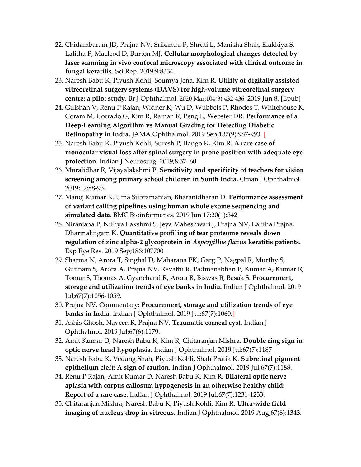- 22. Chidambaram JD, Prajna NV, Srikanthi P, Shruti L, Manisha Shah, Elakkiya S, Lalitha P, Macleod D, Burton MJ. Cellular morphological changes detected by laser scanning in vivo confocal microscopy associated with clinical outcome in fungal keratitis. Sci Rep. 2019;9:8334.
- 23. Naresh Babu K, Piyush Kohli, Soumya Jena, Kim R. Utility of digitally assisted vitreoretinal surgery systems (DAVS) for high-volume vitreoretinal surgery centre: a pilot study. Br J Ophthalmol. 2020 Mar;104(3):432-436. 2019 Jun 8. [Epub]
- 24. Gulshan V, Renu P Rajan, Widner K, Wu D, Wubbels P, Rhodes T, Whitehouse K, Coram M, Corrado G, Kim R, Raman R, Peng L, Webster DR. Performance of a Deep-Learning Algorithm vs Manual Grading for Detecting Diabetic Retinopathy in India. JAMA Ophthalmol. 2019 Sep;137(9):987-993. [
- 25. Naresh Babu K, Piyush Kohli, Suresh P, Ilango K, Kim R. A rare case of monocular visual loss after spinal surgery in prone position with adequate eye protection. Indian J Neurosurg. 2019;8:57–60
- 26. Muralidhar R, Vijayalakshmi P. Sensitivity and specificity of teachers for vision screening among primary school children in South India. Oman J Ophthalmol 2019;12:88-93.
- 27. Manoj Kumar K, Uma Subramanian, Bharanidharan D. Performance assessment of variant calling pipelines using human whole exome sequencing and simulated data. BMC Bioinformatics. 2019 Jun 17;20(1):342
- 28. Niranjana P, Nithya Lakshmi S, Jeya Maheshwari J, Prajna NV, Lalitha Prajna, Dharmalingam K. Quantitative profiling of tear proteome reveals down regulation of zinc alpha-2 glycoprotein in Aspergillus flavus keratitis patients. Exp Eye Res. 2019 Sep;186:107700
- 29. Sharma N, Arora T, Singhal D, Maharana PK, Garg P, Nagpal R, Murthy S, Gunnam S, Arora A, Prajna NV, Revathi R, Padmanabhan P, Kumar A, Kumar R, Tomar S, Thomas A, Gyanchand R, Arora R, Biswas B, Basak S. Procurement, storage and utilization trends of eye banks in India. Indian J Ophthalmol. 2019 Jul;67(7):1056-1059.
- 30. Prajna NV. Commentary: Procurement, storage and utilization trends of eye **banks in India.** Indian J Ophthalmol. 2019 Jul;67(7):1060.
- 31. Ashis Ghosh, Naveen R, Prajna NV. Traumatic corneal cyst. Indian J Ophthalmol. 2019 Jul;67(6):1179.
- 32. Amit Kumar D, Naresh Babu K, Kim R, Chitaranjan Mishra. Double ring sign in optic nerve head hypoplasia. Indian J Ophthalmol. 2019 Jul;67(7):1187
- 33. Naresh Babu K, Vedang Shah, Piyush Kohli, Shah Pratik K. Subretinal pigment epithelium cleft: A sign of caution. Indian J Ophthalmol. 2019 Jul;67(7):1188.
- 34. Renu P Rajan, Amit Kumar D, Naresh Babu K, Kim R. Bilateral optic nerve aplasia with corpus callosum hypogenesis in an otherwise healthy child: Report of a rare case. Indian J Ophthalmol. 2019 Jul;67(7):1231-1233.
- 35. Chitaranjan Mishra, Naresh Babu K, Piyush Kohli, Kim R. Ultra-wide field imaging of nucleus drop in vitreous. Indian J Ophthalmol. 2019 Aug;67(8):1343.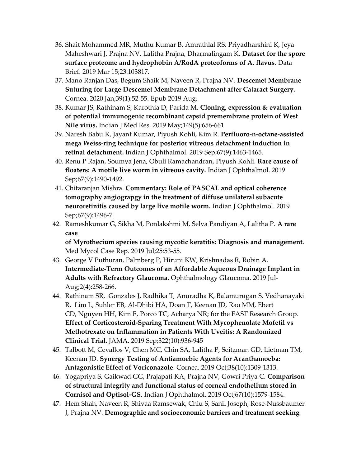- 36. Shait Mohammed MR, Muthu Kumar B, Amrathlal RS, Priyadharshini K, Jeya Maheshwari J, Prajna NV, Lalitha Prajna, Dharmalingam K. Dataset for the spore surface proteome and hydrophobin A/RodA proteoforms of A. flavus. Data Brief. 2019 Mar 15;23:103817.
- 37. Mano Ranjan Das, Begum Shaik M, Naveen R, Prajna NV. Descemet Membrane Suturing for Large Descemet Membrane Detachment after Cataract Surgery. Cornea. 2020 Jan;39(1):52-55. Epub 2019 Aug.
- 38. Kumar JS, Rathinam S, Karothia D, Parida M. Cloning, expression & evaluation of potential immunogenic recombinant capsid premembrane protein of West Nile virus. Indian J Med Res. 2019 May;149(5):656-661
- 39. Naresh Babu K, Jayant Kumar, Piyush Kohli, Kim R. Perfluoro-n-octane-assisted mega Weiss-ring technique for posterior vitreous detachment induction in retinal detachment. Indian J Ophthalmol. 2019 Sep;67(9):1463-1465.
- 40. Renu P Rajan, Soumya Jena, Obuli Ramachandran, Piyush Kohli. Rare cause of floaters: A motile live worm in vitreous cavity. Indian J Ophthalmol. 2019 Sep;67(9):1490-1492.
- 41. Chitaranjan Mishra. Commentary: Role of PASCAL and optical coherence tomography angiograpgy in the treatment of diffuse unilateral subacute neuroretinitis caused by large live motile worm. Indian J Ophthalmol. 2019 Sep;67(9):1496-7.
- 42. Rameshkumar G, Sikha M, Ponlakshmi M, Selva Pandiyan A, Lalitha P. A rare case

of Myrothecium species causing mycotic keratitis: Diagnosis and management. Med Mycol Case Rep. 2019 Jul;25:53-55.

- 43. George V Puthuran, Palmberg P, Hiruni KW, Krishnadas R, Robin A. Intermediate-Term Outcomes of an Affordable Aqueous Drainage Implant in Adults with Refractory Glaucoma. Ophthalmology Glaucoma. 2019 Jul-Aug;2(4):258-266.
- 44. Rathinam SR, Gonzales J, Radhika T, Anuradha K, Balamurugan S, Vedhanayaki R, Lim L, Suhler EB, Al-Dhibi HA, Doan T, Keenan JD, Rao MM, Ebert CD, Nguyen HH, Kim E, Porco TC, Acharya NR; for the FAST Research Group. Effect of Corticosteroid-Sparing Treatment With Mycophenolate Mofetil vs Methotrexate on Inflammation in Patients With Uveitis: A Randomized Clinical Trial. JAMA. 2019 Sep;322(10):936-945
- 45. Talbott M, Cevallos V, Chen MC, Chin SA, Lalitha P, Seitzman GD, Lietman TM, Keenan JD. Synergy Testing of Antiamoebic Agents for Acanthamoeba: Antagonistic Effect of Voriconazole. Cornea. 2019 Oct;38(10):1309-1313.
- 46. Yogapriya S, Gaikwad GG, Prajapati KA, Prajna NV, Gowri Priya C. Comparison of structural integrity and functional status of corneal endothelium stored in Cornisol and Optisol-GS. Indian J Ophthalmol. 2019 Oct;67(10):1579-1584.
- 47. Hem Shah, Naveen R, Shivaa Ramsewak, Chiu S, Sanil Joseph, Rose-Nussbaumer J, Prajna NV. Demographic and socioeconomic barriers and treatment seeking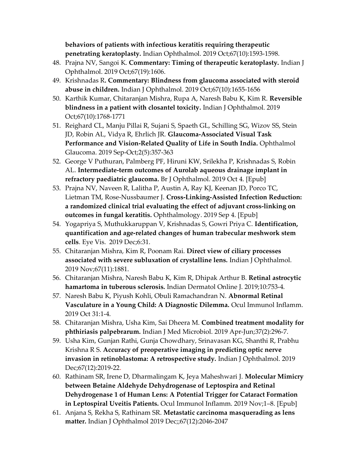behaviors of patients with infectious keratitis requiring therapeutic penetrating keratoplasty. Indian Ophthalmol. 2019 Oct;67(10):1593-1598.

- 48. Prajna NV, Sangoi K. Commentary: Timing of therapeutic keratoplasty. Indian J Ophthalmol. 2019 Oct;67(19):1606.
- 49. Krishnadas R. Commentary: Blindness from glaucoma associated with steroid abuse in children. Indian J Ophthalmol. 2019 Oct;67(10):1655-1656
- 50. Karthik Kumar, Chitaranjan Mishra, Rupa A, Naresh Babu K, Kim R. Reversible blindness in a patient with closantel toxicity. Indian J Ophthalmol. 2019 Oct;67(10):1768-1771
- 51. Reighard CL, Manju Pillai R, Sujani S, Spaeth GL, Schilling SG, Wizov SS, Stein JD, Robin AL, Vidya R, Ehrlich JR. Glaucoma-Associated Visual Task Performance and Vision-Related Quality of Life in South India. Ophthalmol Glaucoma. 2019 Sep-Oct;2(5):357-363
- 52. George V Puthuran, Palmberg PF, Hiruni KW, Srilekha P, Krishnadas S, Robin AL. Intermediate-term outcomes of Aurolab aqueous drainage implant in refractory paediatric glaucoma. Br J Ophthalmol. 2019 Oct 4. [Epub]
- 53. Prajna NV, Naveen R, Lalitha P, Austin A, Ray KJ, Keenan JD, Porco TC, Lietman TM, Rose-Nussbaumer J. Cross-Linking-Assisted Infection Reduction: a randomized clinical trial evaluating the effect of adjuvant cross-linking on outcomes in fungal keratitis. Ophthalmology. 2019 Sep 4. [Epub]
- 54. Yogapriya S, Muthukkaruppan V, Krishnadas S, Gowri Priya C. Identification, quantification and age-related changes of human trabecular meshwork stem cells. Eye Vis. 2019 Dec;6:31.
- 55. Chitaranjan Mishra, Kim R, Poonam Rai. Direct view of ciliary processes associated with severe subluxation of crystalline lens. Indian J Ophthalmol. 2019 Nov;67(11):1881.
- 56. Chitaranjan Mishra, Naresh Babu K, Kim R, Dhipak Arthur B. Retinal astrocytic hamartoma in tuberous sclerosis. Indian Dermatol Online J. 2019;10:753-4.
- 57. Naresh Babu K, Piyush Kohli, Obuli Ramachandran N. Abnormal Retinal Vasculature in a Young Child: A Diagnostic Dilemma. Ocul Immunol Inflamm. 2019 Oct 31:1-4.
- 58. Chitaranjan Mishra, Usha Kim, Sai Dheera M. Combined treatment modality for phthiriasis palpebrarum. Indian J Med Microbiol. 2019 Apr-Jun;37(2):296-7.
- 59. Usha Kim, Gunjan Rathi, Gunja Chowdhary, Srinavasan KG, Shanthi R, Prabhu Krishna R S. Accuracy of preoperative imaging in predicting optic nerve invasion in retinoblastoma: A retrospective study. Indian J Ophthalmol. 2019 Dec;67(12):2019-22.
- 60. Rathinam SR, Irene D, Dharmalingam K, Jeya Maheshwari J. Molecular Mimicry between Betaine Aldehyde Dehydrogenase of Leptospira and Retinal Dehydrogenase 1 of Human Lens: A Potential Trigger for Cataract Formation in Leptospiral Uveitis Patients. Ocul Immunol Inflamm. 2019 Nov;1–8. [Epub]
- 61. Anjana S, Rekha S, Rathinam SR. Metastatic carcinoma masquerading as lens matter. Indian J Ophthalmol 2019 Dec;;67(12):2046-2047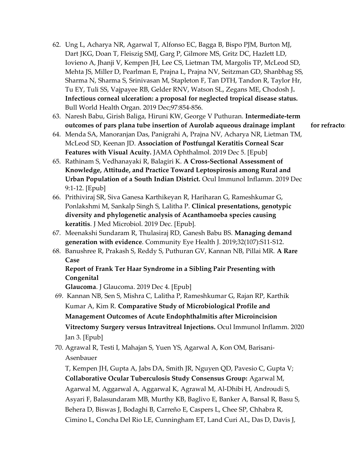- 62. Ung L, Acharya NR, Agarwal T, Alfonso EC, Bagga B, Bispo PJM, Burton MJ, Dart JKG, Doan T, Fleiszig SMJ, Garg P, Gilmore MS, Gritz DC, Hazlett LD, Iovieno A, Jhanji V, Kempen JH, Lee CS, Lietman TM, Margolis TP, McLeod SD, Mehta JS, Miller D, Pearlman E, Prajna L, Prajna NV, Seitzman GD, Shanbhag SS, Sharma N, Sharma S, Srinivasan M, Stapleton F, Tan DTH, Tandon R, Taylor Hr, Tu EY, Tuli SS, Vajpayee RB, Gelder RNV, Watson SL, Zegans ME, Chodosh J. Infectious corneal ulceration: a proposal for neglected tropical disease status. Bull World Health Organ. 2019 Dec;97:854-856.
- 63. Naresh Babu, Girish Baliga, Hiruni KW, George V Puthuran. Intermediate-term outcomes of pars plana tube insertion of Aurolab aqueous drainage implant for refractor
- 64. Menda SA, Manoranjan Das, Panigrahi A, Prajna NV, Acharya NR, Lietman TM, McLeod SD, Keenan JD. Association of Postfungal Keratitis Corneal Scar Features with Visual Acuity. JAMA Ophthalmol. 2019 Dec 5. [Epub]
- 65. Rathinam S, Vedhanayaki R, Balagiri K. A Cross-Sectional Assessment of Knowledge, Attitude, and Practice Toward Leptospirosis among Rural and Urban Population of a South Indian District. Ocul Immunol Inflamm. 2019 Dec 9:1-12. [Epub]
- 66. Prithiviraj SR, Siva Ganesa Karthikeyan R, Hariharan G, Rameshkumar G, Ponlakshmi M, Sankalp Singh S, Lalitha P. Clinical presentations, genotypic diversity and phylogenetic analysis of Acanthamoeba species causing keratitis. J Med Microbiol. 2019 Dec. [Epub].
- 67. Meenakshi Sundaram R, Thulasiraj RD, Ganesh Babu BS. Managing demand generation with evidence. Community Eye Health J. 2019;32(107):S11-S12.
- 68. Banushree R, Prakash S, Reddy S, Puthuran GV, Kannan NB, Pillai MR. A Rare Case

## Report of Frank Ter Haar Syndrome in a Sibling Pair Presenting with **Congenital**

Glaucoma. J Glaucoma. 2019 Dec 4. [Epub]

- 69. Kannan NB, Sen S, Mishra C, Lalitha P, Rameshkumar G, Rajan RP, Karthik Kumar A, Kim R. Comparative Study of Microbiological Profile and Management Outcomes of Acute Endophthalmitis after Microincision Vitrectomy Surgery versus Intravitreal Injections. Ocul Immunol Inflamm. 2020 Jan 3. [Epub]
- 70. Agrawal R, Testi I, Mahajan S, Yuen YS, Agarwal A, Kon OM, Barisani-Asenbauer

T, Kempen JH, Gupta A, Jabs DA, Smith JR, Nguyen QD, Pavesio C, Gupta V; Collaborative Ocular Tuberculosis Study Consensus Group: Agarwal M, Agarwal M, Aggarwal A, Aggarwal K, Agrawal M, Al-Dhibi H, Androudi S, Asyari F, Balasundaram MB, Murthy KB, Baglivo E, Banker A, Bansal R, Basu S, Behera D, Biswas J, Bodaghi B, Carreño E, Caspers L, Chee SP, Chhabra R, Cimino L, Concha Del Rio LE, Cunningham ET, Land Curi AL, Das D, Davis J,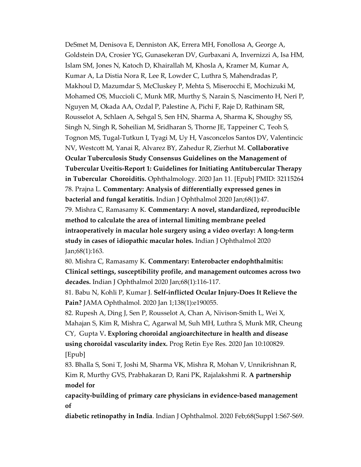DeSmet M, Denisova E, Denniston AK, Errera MH, Fonollosa A, George A, Goldstein DA, Crosier YG, Gunasekeran DV, Gurbaxani A, Invernizzi A, Isa HM, Islam SM, Jones N, Katoch D, Khairallah M, Khosla A, Kramer M, Kumar A, Kumar A, La Distia Nora R, Lee R, Lowder C, Luthra S, Mahendradas P, Makhoul D, Mazumdar S, McCluskey P, Mehta S, Miserocchi E, Mochizuki M, Mohamed OS, Muccioli C, Munk MR, Murthy S, Narain S, Nascimento H, Neri P, Nguyen M, Okada AA, Ozdal P, Palestine A, Pichi F, Raje D, Rathinam SR, Rousselot A, Schlaen A, Sehgal S, Sen HN, Sharma A, Sharma K, Shoughy SS, Singh N, Singh R, Soheilian M, Sridharan S, Thorne JE, Tappeiner C, Teoh S, Tognon MS, Tugal-Tutkun I, Tyagi M, Uy H, Vasconcelos Santos DV, Valentincic NV, Westcott M, Yanai R, Alvarez BY, Zahedur R, Zierhut M. Collaborative Ocular Tuberculosis Study Consensus Guidelines on the Management of Tubercular Uveitis-Report 1: Guidelines for Initiating Antitubercular Therapy in Tubercular Choroiditis. Ophthalmology. 2020 Jan 11. [Epub] PMID: 32115264 78. Prajna L. Commentary: Analysis of differentially expressed genes in bacterial and fungal keratitis. Indian J Ophthalmol 2020 Jan;68(1):47. 79. Mishra C, Ramasamy K. Commentary: A novel, standardized, reproducible method to calculate the area of internal limiting membrane peeled intraoperatively in macular hole surgery using a video overlay: A long-term study in cases of idiopathic macular holes. Indian J Ophthalmol 2020 Jan;68(1):163.

80. Mishra C, Ramasamy K. Commentary: Enterobacter endophthalmitis: Clinical settings, susceptibility profile, and management outcomes across two decades. Indian J Ophthalmol 2020 Jan;68(1):116-117.

81. Babu N, Kohli P, Kumar J. Self-inflicted Ocular Injury-Does It Relieve the Pain? JAMA Ophthalmol. 2020 Jan 1;138(1):e190055.

82. Rupesh A, Ding J, Sen P, Rousselot A, Chan A, Nivison-Smith L, Wei X, Mahajan S, Kim R, Mishra C, Agarwal M, Suh MH, Luthra S, Munk MR, Cheung CY, Gupta V. Exploring choroidal angioarchitecture in health and disease using choroidal vascularity index. Prog Retin Eye Res. 2020 Jan 10:100829. [Epub]

83. Bhalla S, Soni T, Joshi M, Sharma VK, Mishra R, Mohan V, Unnikrishnan R, Kim R, Murthy GVS, Prabhakaran D, Rani PK, Rajalakshmi R. **A partnership** model for

capacity-building of primary care physicians in evidence-based management of

diabetic retinopathy in India. Indian J Ophthalmol. 2020 Feb;68(Suppl 1:S67-S69.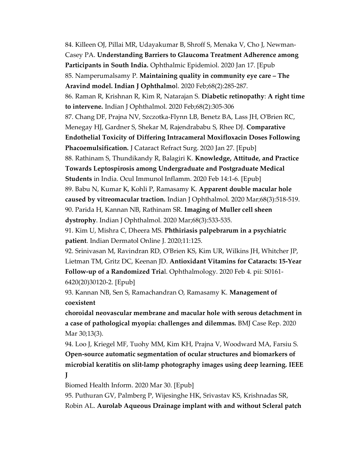84. Killeen OJ, Pillai MR, Udayakumar B, Shroff S, Menaka V, Cho J, Newman-Casey PA. Understanding Barriers to Glaucoma Treatment Adherence among Participants in South India. Ophthalmic Epidemiol. 2020 Jan 17. [Epub 85. Namperumalsamy P. Maintaining quality in community eye care – The Aravind model. Indian J Ophthalmol. 2020 Feb;68(2):285-287. 86. Raman R, Krishnan R, Kim R, Natarajan S. Diabetic retinopathy: A right time to intervene. Indian J Ophthalmol. 2020 Feb;68(2):305-306 87. Chang DF, Prajna NV, Szczotka-Flynn LB, Benetz BA, Lass JH, O'Brien RC, Menegay HJ, Gardner S, Shekar M, Rajendrababu S, Rhee DJ. Comparative Endothelial Toxicity of Differing Intracameral Moxifloxacin Doses Following Phacoemulsification. J Cataract Refract Surg. 2020 Jan 27. [Epub] 88. Rathinam S, Thundikandy R, Balagiri K. **Knowledge, Attitude, and Practice** Towards Leptospirosis among Undergraduate and Postgraduate Medical Students in India. Ocul Immunol Inflamm. 2020 Feb 14:1-6. [Epub] 89. Babu N, Kumar K, Kohli P, Ramasamy K. Apparent double macular hole caused by vitreomacular traction. Indian J Ophthalmol. 2020 Mar;68(3):518-519. 90. Parida H, Kannan NB, Rathinam SR. Imaging of Muller cell sheen dystrophy. Indian J Ophthalmol. 2020 Mar;68(3):533-535. 91. Kim U, Mishra C, Dheera MS. Phthiriasis palpebrarum in a psychiatric patient. Indian Dermatol Online J. 2020;11:125.

92. Srinivasan M, Ravindran RD, O'Brien KS, Kim UR, Wilkins JH, Whitcher JP, Lietman TM, Gritz DC, Keenan JD. Antioxidant Vitamins for Cataracts: 15-Year Follow-up of a Randomized Trial. Ophthalmology. 2020 Feb 4. pii: S0161- 6420(20)30120-2. [Epub]

93. Kannan NB, Sen S, Ramachandran O, Ramasamy K. Management of coexistent

choroidal neovascular membrane and macular hole with serous detachment in a case of pathological myopia: challenges and dilemmas. BMJ Case Rep. 2020 Mar 30;13(3).

94. Loo J, Kriegel MF, Tuohy MM, Kim KH, Prajna V, Woodward MA, Farsiu S. Open-source automatic segmentation of ocular structures and biomarkers of microbial keratitis on slit-lamp photography images using deep learning. IEEE J

Biomed Health Inform. 2020 Mar 30. [Epub]

95. Puthuran GV, Palmberg P, Wijesinghe HK, Srivastav KS, Krishnadas SR, Robin AL. Aurolab Aqueous Drainage implant with and without Scleral patch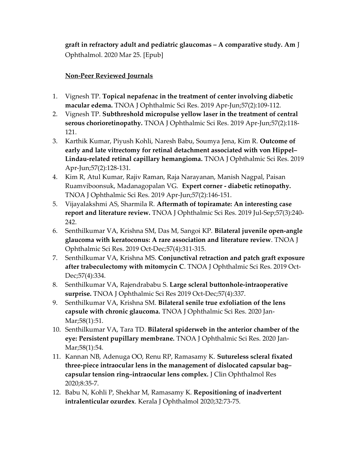graft in refractory adult and pediatric glaucomas – A comparative study. Am J Ophthalmol. 2020 Mar 25. [Epub]

## Non-Peer Reviewed Journals

- 1. Vignesh TP. Topical nepafenac in the treatment of center involving diabetic macular edema. TNOA J Ophthalmic Sci Res. 2019 Apr-Jun;57(2):109-112.
- 2. Vignesh TP. Subthreshold micropulse yellow laser in the treatment of central serous chorioretinopathy. TNOA J Ophthalmic Sci Res. 2019 Apr-Jun;57(2):118-121.
- 3. Karthik Kumar, Piyush Kohli, Naresh Babu, Soumya Jena, Kim R. Outcome of early and late vitrectomy for retinal detachment associated with von Hippel– Lindau-related retinal capillary hemangioma. TNOA J Ophthalmic Sci Res. 2019 Apr-Jun;57(2):128-131.
- 4. Kim R, Atul Kumar, Rajiv Raman, Raja Narayanan, Manish Nagpal, Paisan Ruamviboonsuk, Madanagopalan VG. Expert corner - diabetic retinopathy. TNOA J Ophthalmic Sci Res. 2019 Apr-Jun;57(2):146-151.
- 5. Vijayalakshmi AS, Sharmila R. Aftermath of topiramate: An interesting case report and literature review. TNOA J Ophthalmic Sci Res. 2019 Jul-Sep;57(3):240- 242.
- 6. Senthilkumar VA, Krishna SM, Das M, Sangoi KP. Bilateral juvenile open-angle glaucoma with keratoconus: A rare association and literature review. TNOA J Ophthalmic Sci Res. 2019 Oct-Dec;57(4):311-315.
- 7. Senthilkumar VA, Krishna MS. Conjunctival retraction and patch graft exposure after trabeculectomy with mitomycin C. TNOA J Ophthalmic Sci Res. 2019 Oct-Dec;57(4):334.
- 8. Senthilkumar VA, Rajendrababu S. Large scleral buttonhole-intraoperative surprise. TNOA J Ophthalmic Sci Res 2019 Oct-Dec;57(4):337.
- 9. Senthilkumar VA, Krishna SM. Bilateral senile true exfoliation of the lens capsule with chronic glaucoma. TNOA J Ophthalmic Sci Res. 2020 Jan-Mar;58(1):51.
- 10. Senthilkumar VA, Tara TD. Bilateral spiderweb in the anterior chamber of the eye: Persistent pupillary membrane. TNOA J Ophthalmic Sci Res. 2020 Jan-Mar;58(1):54.
- 11. Kannan NB, Adenuga OO, Renu RP, Ramasamy K. Sutureless scleral fixated three-piece intraocular lens in the management of dislocated capsular bag– capsular tension ring–intraocular lens complex. J Clin Ophthalmol Res 2020;8:35-7.
- 12. Babu N, Kohli P, Shekhar M, Ramasamy K. Repositioning of inadvertent intralenticular ozurdex. Kerala J Ophthalmol 2020;32:73-75.